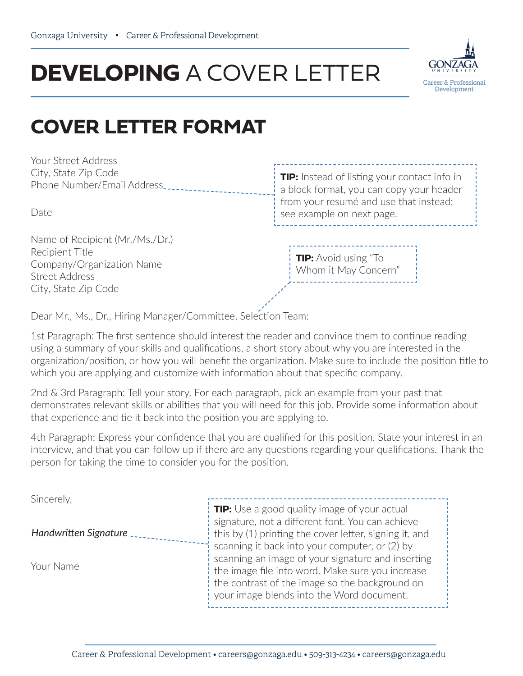## **DEVELOPING** A COVER LETTER



## **COVER LETTER FORMAT**

Your Street Address City, State Zip Code Phone Number/Email Address

Name of Recipient (Mr./Ms./Dr.) Recipient Title Company/Organization Name Street Address City, State Zip Code

**TIP:** Instead of listing your contact info in a block format, you can copy your header from your resumé and use that instead; Date see example on next page.

> **TIP:** Avoid using "To Whom it May Concern"

Dear Mr., Ms., Dr., Hiring Manager/Committee, Selection Team:

1st Paragraph: The first sentence should interest the reader and convince them to continue reading using a summary of your skills and qualifications, a short story about why you are interested in the organization/position, or how you will benefit the organization. Make sure to include the position title to which you are applying and customize with information about that specific company.

2nd & 3rd Paragraph: Tell your story. For each paragraph, pick an example from your past that demonstrates relevant skills or abilities that you will need for this job. Provide some information about that experience and tie it back into the position you are applying to.

4th Paragraph: Express your confidence that you are qualified for this position. State your interest in an interview, and that you can follow up if there are any questions regarding your qualifications. Thank the person for taking the time to consider you for the position.

| Sincerely,            |                                                        |
|-----------------------|--------------------------------------------------------|
|                       | <b>TIP:</b> Use a good quality image of your actual    |
|                       | signature, not a different font. You can achieve       |
| Handwritten Signature | this by (1) printing the cover letter, signing it, and |
|                       | scanning it back into your computer, or (2) by         |
| Your Name             | scanning an image of your signature and inserting      |
|                       | I the image file into word. Make sure you increase     |
|                       | the contrast of the image so the background on         |
|                       | your image blends into the Word document.              |
|                       |                                                        |